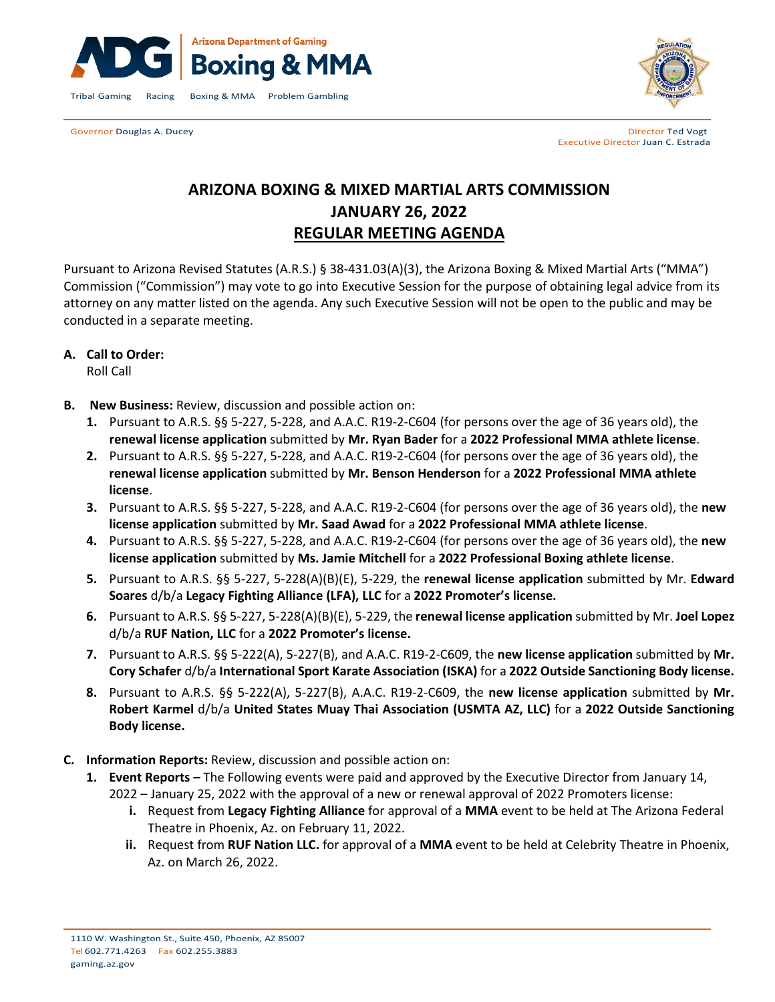

Governor Douglas A. Ducey **Director Ted Vogt Director Ted Vogt Director Ted Vogt** 



Executive Director Juan C. Estrada

# **ARIZONA BOXING & MIXED MARTIAL ARTS COMMISSION JANUARY 26, 2022 REGULAR MEETING AGENDA**

Pursuant to Arizona Revised Statutes (A.R.S.) § 38-431.03(A)(3), the Arizona Boxing & Mixed Martial Arts ("MMA") Commission ("Commission") may vote to go into Executive Session for the purpose of obtaining legal advice from its attorney on any matter listed on the agenda. Any such Executive Session will not be open to the public and may be conducted in a separate meeting.

# **A. Call to Order:**

Roll Call

- **B. New Business:** Review, discussion and possible action on:
	- **1.** Pursuant to A.R.S. §§ 5-227, 5-228, and A.A.C. R19-2-C604 (for persons over the age of 36 years old), the **renewal license application** submitted by **Mr. Ryan Bader** for a **2022 Professional MMA athlete license**.
	- **2.** Pursuant to A.R.S. §§ 5-227, 5-228, and A.A.C. R19-2-C604 (for persons over the age of 36 years old), the **renewal license application** submitted by **Mr. Benson Henderson** for a **2022 Professional MMA athlete license**.
	- **3.** Pursuant to A.R.S. §§ 5-227, 5-228, and A.A.C. R19-2-C604 (for persons over the age of 36 years old), the **new license application** submitted by **Mr. Saad Awad** for a **2022 Professional MMA athlete license**.
	- **4.** Pursuant to A.R.S. §§ 5-227, 5-228, and A.A.C. R19-2-C604 (for persons over the age of 36 years old), the **new license application** submitted by **Ms. Jamie Mitchell** for a **2022 Professional Boxing athlete license**.
	- **5.** Pursuant to A.R.S. §§ 5-227, 5-228(A)(B)(E), 5-229, the **renewal license application** submitted by Mr. **Edward Soares** d/b/a **Legacy Fighting Alliance (LFA), LLC** for a **2022 Promoter's license.**
	- **6.** Pursuant to A.R.S. §§ 5-227, 5-228(A)(B)(E), 5-229, the **renewal license application** submitted by Mr. **Joel Lopez** d/b/a **RUF Nation, LLC** for a **2022 Promoter's license.**
	- **7.** Pursuant to A.R.S. §§ 5-222(A), 5-227(B), and A.A.C. R19-2-C609, the **new license application** submitted by **Mr. Cory Schafer** d/b/a **International Sport Karate Association (ISKA)** for a **2022 Outside Sanctioning Body license.**
	- **8.** Pursuant to A.R.S. §§ 5-222(A), 5-227(B), A.A.C. R19-2-C609, the **new license application** submitted by **Mr. Robert Karmel** d/b/a **United States Muay Thai Association (USMTA AZ, LLC)** for a **2022 Outside Sanctioning Body license.**
- **C. Information Reports:** Review, discussion and possible action on:
	- **1. Event Reports –** The Following events were paid and approved by the Executive Director from January 14, 2022 – January 25, 2022 with the approval of a new or renewal approval of 2022 Promoters license:
		- **i.** Request from **Legacy Fighting Alliance** for approval of a **MMA** event to be held at The Arizona Federal Theatre in Phoenix, Az. on February 11, 2022.
		- **ii.** Request from **RUF Nation LLC.** for approval of a **MMA** event to be held at Celebrity Theatre in Phoenix, Az. on March 26, 2022.